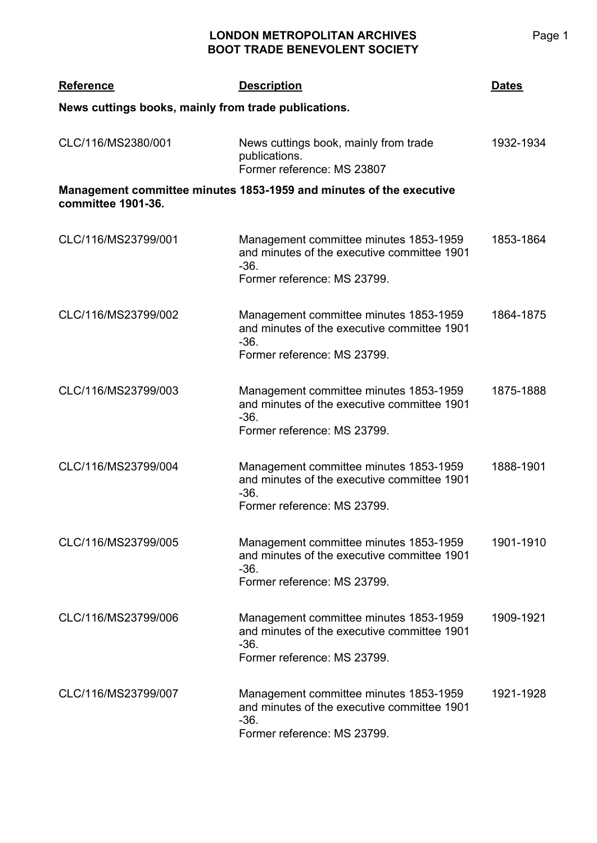## **LONDON METROPOLITAN ARCHIVES BOOT TRADE BENEVOLENT SOCIETY**

| <b>Reference</b>                                                                          | <b>Description</b>                                                                                                             | <b>Dates</b> |  |  |
|-------------------------------------------------------------------------------------------|--------------------------------------------------------------------------------------------------------------------------------|--------------|--|--|
| News cuttings books, mainly from trade publications.                                      |                                                                                                                                |              |  |  |
| CLC/116/MS2380/001                                                                        | News cuttings book, mainly from trade<br>publications.<br>Former reference: MS 23807                                           | 1932-1934    |  |  |
| Management committee minutes 1853-1959 and minutes of the executive<br>committee 1901-36. |                                                                                                                                |              |  |  |
| CLC/116/MS23799/001                                                                       | Management committee minutes 1853-1959<br>and minutes of the executive committee 1901<br>$-36.$<br>Former reference: MS 23799. | 1853-1864    |  |  |
| CLC/116/MS23799/002                                                                       | Management committee minutes 1853-1959<br>and minutes of the executive committee 1901<br>$-36.$<br>Former reference: MS 23799. | 1864-1875    |  |  |
| CLC/116/MS23799/003                                                                       | Management committee minutes 1853-1959<br>and minutes of the executive committee 1901<br>$-36.$<br>Former reference: MS 23799. | 1875-1888    |  |  |
| CLC/116/MS23799/004                                                                       | Management committee minutes 1853-1959<br>and minutes of the executive committee 1901<br>$-36.$<br>Former reference: MS 23799. | 1888-1901    |  |  |
| CLC/116/MS23799/005                                                                       | Management committee minutes 1853-1959<br>and minutes of the executive committee 1901<br>$-36.$<br>Former reference: MS 23799. | 1901-1910    |  |  |
| CLC/116/MS23799/006                                                                       | Management committee minutes 1853-1959<br>and minutes of the executive committee 1901<br>$-36.$<br>Former reference: MS 23799. | 1909-1921    |  |  |
| CLC/116/MS23799/007                                                                       | Management committee minutes 1853-1959<br>and minutes of the executive committee 1901<br>$-36.$<br>Former reference: MS 23799. | 1921-1928    |  |  |

Page 1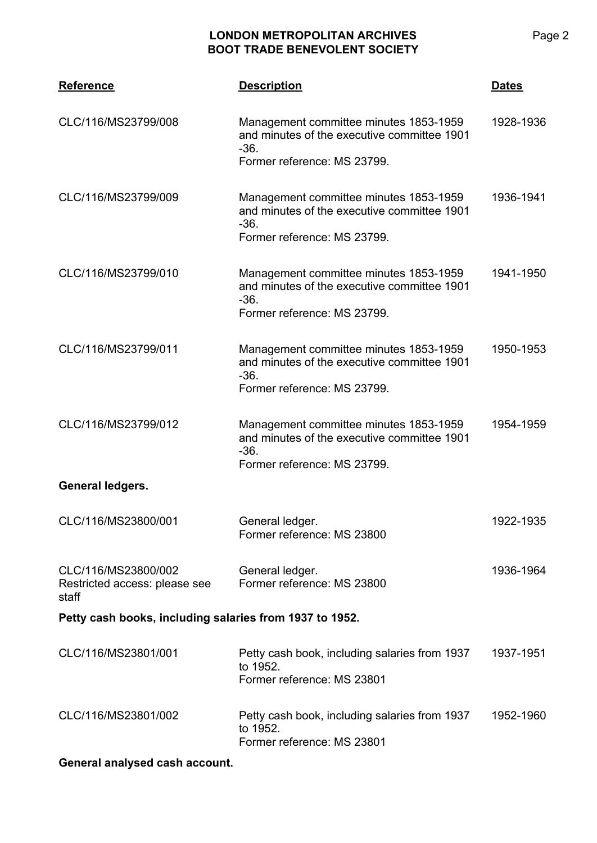## **LONDON METROPOLITAN ARCHIVES BOOT TRADE BENEVOLENT SOCIETY**

| <b>Reference</b>                                              | <b>Description</b>                                                                                                             | <u>Dates</u> |  |  |
|---------------------------------------------------------------|--------------------------------------------------------------------------------------------------------------------------------|--------------|--|--|
| CLC/116/MS23799/008                                           | Management committee minutes 1853-1959<br>and minutes of the executive committee 1901<br>$-36.$<br>Former reference: MS 23799. | 1928-1936    |  |  |
| CLC/116/MS23799/009                                           | Management committee minutes 1853-1959<br>and minutes of the executive committee 1901<br>$-36.$<br>Former reference: MS 23799. | 1936-1941    |  |  |
| CLC/116/MS23799/010                                           | Management committee minutes 1853-1959<br>and minutes of the executive committee 1901<br>$-36.$<br>Former reference: MS 23799. | 1941-1950    |  |  |
| CLC/116/MS23799/011                                           | Management committee minutes 1853-1959<br>and minutes of the executive committee 1901<br>$-36.$<br>Former reference: MS 23799. | 1950-1953    |  |  |
| CLC/116/MS23799/012                                           | Management committee minutes 1853-1959<br>and minutes of the executive committee 1901<br>$-36.$<br>Former reference: MS 23799. | 1954-1959    |  |  |
| General ledgers.                                              |                                                                                                                                |              |  |  |
| CLC/116/MS23800/001                                           | General ledger.<br>Former reference: MS 23800                                                                                  | 1922-1935    |  |  |
| CLC/116/MS23800/002<br>Restricted access: please see<br>staff | General ledger.<br>Former reference: MS 23800                                                                                  | 1936-1964    |  |  |
| Petty cash books, including salaries from 1937 to 1952.       |                                                                                                                                |              |  |  |
| CLC/116/MS23801/001                                           | Petty cash book, including salaries from 1937<br>to 1952.<br>Former reference: MS 23801                                        | 1937-1951    |  |  |
| CLC/116/MS23801/002                                           | Petty cash book, including salaries from 1937<br>to 1952.<br>Former reference: MS 23801                                        | 1952-1960    |  |  |
| General analysed cash account.                                |                                                                                                                                |              |  |  |